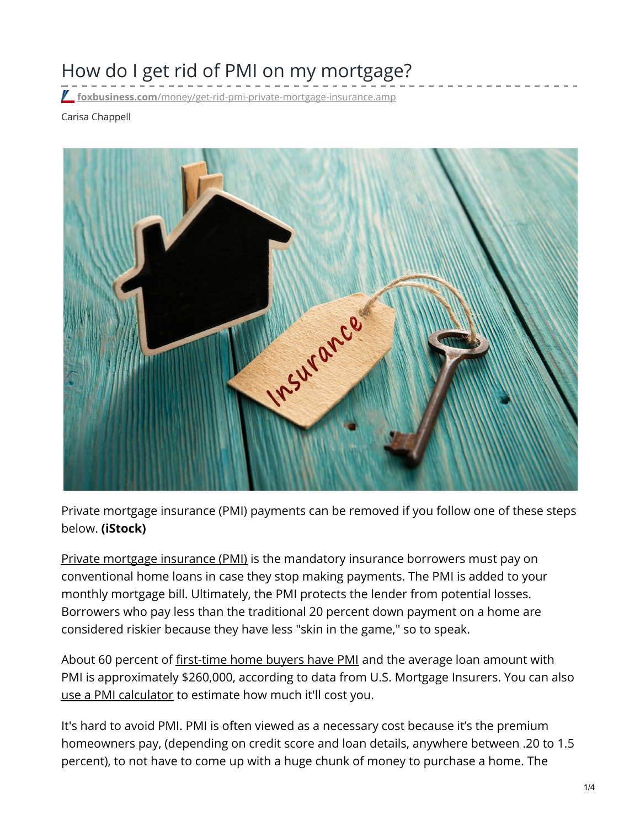# How do I get rid of PMI on my mortgage?

**foxbusiness.com**[/money/get-rid-pmi-private-mortgage-insurance.amp](https://www.foxbusiness.com/money/get-rid-pmi-private-mortgage-insurance.amp)

Carisa Chappell



Private mortgage insurance (PMI) payments can be removed if you follow one of these steps below. **(iStock)**

Private mortgage [insurance](https://www.foxbusiness.com/money/what-is-pmi-private-mortgage-insurance) (PMI) is the mandatory insurance borrowers must pay on conventional home loans in case they stop making payments. The PMI is added to your monthly mortgage bill. Ultimately, the PMI protects the lender from potential losses. Borrowers who pay less than the traditional 20 percent down payment on a home are considered riskier because they have less "skin in the game," so to speak.

About 60 percent of [first-time](https://www.foxbusiness.com/money/first-time-homebuyers-common-mistakes) home buyers have PMI and the average loan amount with PMI is approximately \$260,000, according to data from U.S. Mortgage Insurers. You can also use a PMI [calculator](https://www.hsh.com/calc-pmionly.html) to estimate how much it'll cost you.

It's hard to avoid PMI. PMI is often viewed as a necessary cost because it's the premium homeowners pay, (depending on credit score and loan details, anywhere between .20 to 1.5 percent), to not have to come up with a huge chunk of money to purchase a home. The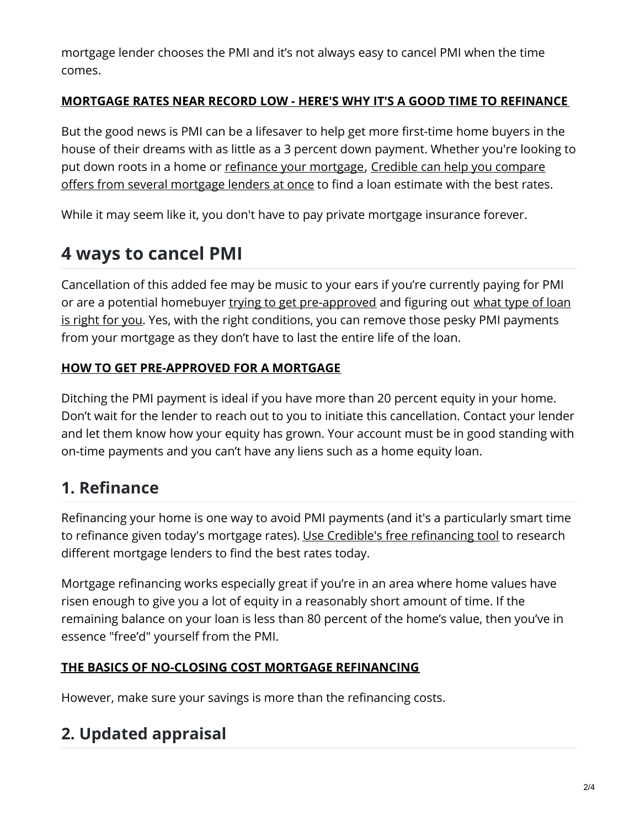mortgage lender chooses the PMI and it's not always easy to cancel PMI when the time comes.

#### **[MORTGAGE](https://www.foxbusiness.com/money/mortgage-rates-record-low-refinance-now) RATES NEAR RECORD LOW - HERE'S WHY IT'S A GOOD TIME TO REFINANCE**

But the good news is PMI can be a lifesaver to help get more first-time home buyers in the house of their dreams with as little as a 3 percent down payment. Whether you're looking to put down roots in a home or refinance your [mortgage,](https://www.credible.com/mortgage-refinance?utm_source=fox&utm_medium=partner_link&utm_campaign=https%3A%2F%2Fwww.foxbusiness.com%2Fmoney%2Fget-rid-pmi-private-mortgage-insurance) Credible can help you compare offers from several mortgage lenders at once to find a loan estimate with the best rates.

While it may seem like it, you don't have to pay private mortgage insurance forever.

## **4 ways to cancel PMI**

Cancellation of this added fee may be music to your ears if you're currently paying for PMI or are a potential homebuyer trying to get [pre-approved](https://www.foxbusiness.com/money/5-types-mortgage-loans-homebuyers-best) and figuring out what type of loan is right for you. Yes, with the right conditions, you can remove those pesky PMI payments from your mortgage as they don't have to last the entire life of the loan.

### **HOW TO GET [PRE-APPROVED](https://www.foxbusiness.com/money/mortgage-loans-preapproval) FOR A MORTGAGE**

Ditching the PMI payment is ideal if you have more than 20 percent equity in your home. Don't wait for the lender to reach out to you to initiate this cancellation. Contact your lender and let them know how your equity has grown. Your account must be in good standing with on-time payments and you can't have any liens such as a home equity loan.

### **1. Refinance**

Refinancing your home is one way to avoid PMI payments (and it's a particularly smart time to refinance given today's mortgage rates). Use Credible's free [refinancing](https://www.credible.com/mortgage-refinance?utm_source=fox&utm_medium=partner_link&utm_campaign=https%3A%2F%2Fwww.foxbusiness.com%2Fmoney%2Fget-rid-pmi-private-mortgage-insurance) tool to research different mortgage lenders to find the best rates today.

Mortgage refinancing works especially great if you're in an area where home values have risen enough to give you a lot of equity in a reasonably short amount of time. If the remaining balance on your loan is less than 80 percent of the home's value, then you've in essence "free'd" yourself from the PMI.

### **THE BASICS OF NO-CLOSING COST MORTGAGE [REFINANCING](https://www.foxbusiness.com/money/no-closing-cost-mortgage-refinancing-basics)**

However, make sure your savings is more than the refinancing costs.

### **2. Updated appraisal**